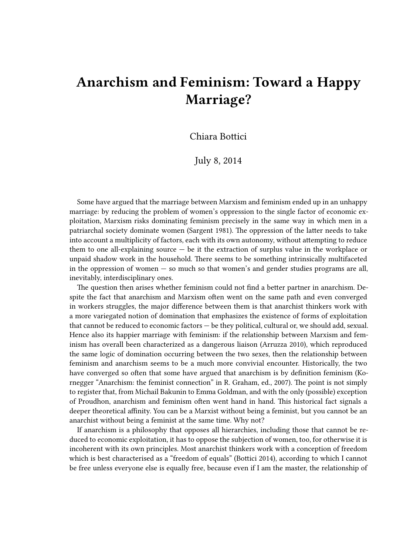## **Anarchism and Feminism: Toward a Happy Marriage?**

Chiara Bottici

July 8, 2014

Some have argued that the marriage between Marxism and feminism ended up in an unhappy marriage: by reducing the problem of women's oppression to the single factor of economic exploitation, Marxism risks dominating feminism precisely in the same way in which men in a patriarchal society dominate women (Sargent 1981). The oppression of the latter needs to take into account a multiplicity of factors, each with its own autonomy, without attempting to reduce them to one all-explaining source  $-$  be it the extraction of surplus value in the workplace or unpaid shadow work in the household. There seems to be something intrinsically multifaceted in the oppression of women — so much so that women's and gender studies programs are all, inevitably, interdisciplinary ones.

The question then arises whether feminism could not find a better partner in anarchism. Despite the fact that anarchism and Marxism often went on the same path and even converged in workers struggles, the major difference between them is that anarchist thinkers work with a more variegated notion of domination that emphasizes the existence of forms of exploitation that cannot be reduced to economic factors — be they political, cultural or, we should add, sexual. Hence also its happier marriage with feminism: if the relationship between Marxism and feminism has overall been characterized as a dangerous liaison (Arruzza 2010), which reproduced the same logic of domination occurring between the two sexes, then the relationship between feminism and anarchism seems to be a much more convivial encounter. Historically, the two have converged so often that some have argued that anarchism is by definition feminism (Kornegger "Anarchism: the feminist connection" in R. Graham, ed., 2007). The point is not simply to register that, from [Michail Bakunin](http://en.wikipedia.org/wiki/Michail_Bakunin) to [Emma Goldman,](http://en.wikipedia.org/wiki/Emma_Goldman) and with the only (possible) exception of [Proudhon,](http://en.wikipedia.org/wiki/Proudhon) anarchism and feminism often went hand in hand. This historical fact signals a deeper theoretical affinity. You can be a Marxist without being a feminist, but you cannot be an anarchist without being a feminist at the same time. Why not?

If anarchism is a philosophy that opposes all hierarchies, including those that cannot be reduced to economic exploitation, it has to oppose the subjection of women, too, for otherwise it is incoherent with its own principles. Most anarchist thinkers work with a conception of freedom which is best characterised as a "freedom of equals" (Bottici 2014), according to which I cannot be free unless everyone else is equally free, because even if I am the master, the relationship of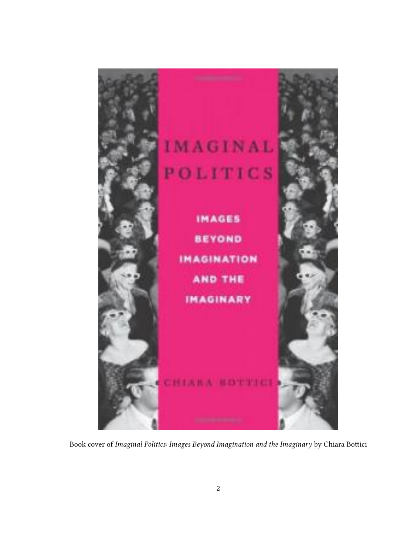

Book cover of *Imaginal Politics: Images Beyond Imagination and the Imaginary* by Chiara Bottici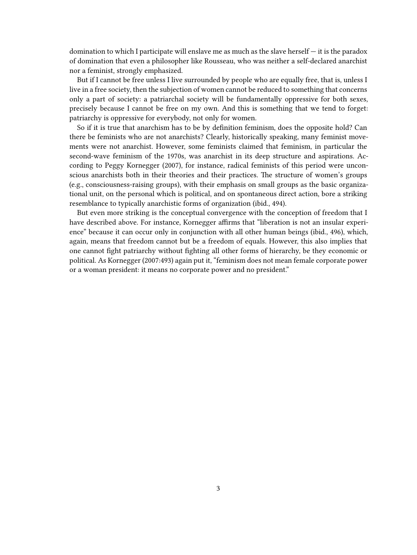domination to which I participate will enslave me as much as the slave herself — it is the paradox of domination that even a philosopher like Rousseau, who was neither a self-declared anarchist nor a feminist, strongly emphasized.

But if I cannot be free unless I live surrounded by people who are equally free, that is, unless I live in a free society, then the subjection of women cannot be reduced to something that concerns only a part of society: a patriarchal society will be fundamentally oppressive for both sexes, precisely because I cannot be free on my own. And this is something that we tend to forget: patriarchy is oppressive for everybody, not only for women.

So if it is true that anarchism has to be by definition feminism, does the opposite hold? Can there be feminists who are not anarchists? Clearly, historically speaking, many feminist movements were not anarchist. However, some feminists claimed that feminism, in particular the second-wave feminism of the 1970s, was anarchist in its deep structure and aspirations. According to Peggy Kornegger (2007), for instance, radical feminists of this period were unconscious anarchists both in their theories and their practices. The structure of women's groups (e.g., consciousness-raising groups), with their emphasis on small groups as the basic organizational unit, on the personal which is political, and on spontaneous direct action, bore a striking resemblance to typically anarchistic forms of organization (ibid., 494).

But even more striking is the conceptual convergence with the conception of freedom that I have described above. For instance, Kornegger affirms that "liberation is not an insular experience" because it can occur only in conjunction with all other human beings (ibid., 496), which, again, means that freedom cannot but be a freedom of equals. However, this also implies that one cannot fight patriarchy without fighting all other forms of hierarchy, be they economic or political. As Kornegger (2007:493) again put it, "feminism does not mean female corporate power or a woman president: it means no corporate power and no president."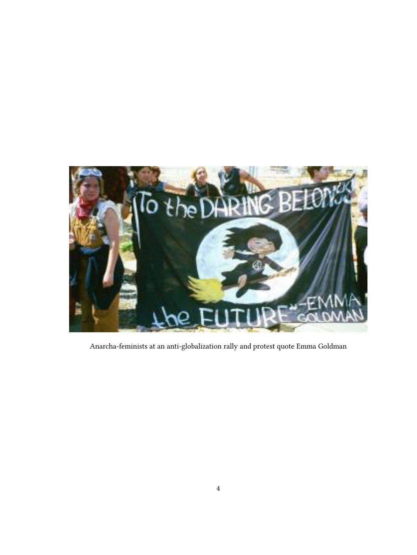

Anarcha-feminists at an anti-globalization rally and protest quote Emma Goldman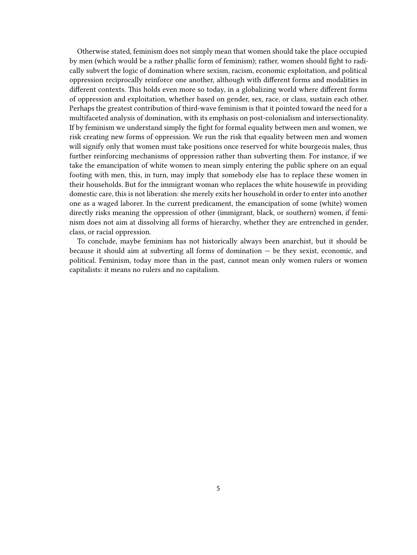Otherwise stated, feminism does not simply mean that women should take the place occupied by men (which would be a rather phallic form of feminism); rather, women should fight to radically subvert the logic of domination where sexism, racism, economic exploitation, and political oppression reciprocally reinforce one another, although with different forms and modalities in different contexts. This holds even more so today, in a globalizing world where different forms of oppression and exploitation, whether based on gender, sex, race, or class, sustain each other. Perhaps the greatest contribution of third-wave feminism is that it pointed toward the need for a multifaceted analysis of domination, with its emphasis on post-colonialism and intersectionality. If by feminism we understand simply the fight for formal equality between men and women, we risk creating new forms of oppression. We run the risk that equality between men and women will signify only that women must take positions once reserved for white bourgeois males, thus further reinforcing mechanisms of oppression rather than subverting them. For instance, if we take the emancipation of white women to mean simply entering the public sphere on an equal footing with men, this, in turn, may imply that somebody else has to replace these women in their households. But for the immigrant woman who replaces the white housewife in providing domestic care, this is not liberation: she merely exits her household in order to enter into another one as a waged laborer. In the current predicament, the emancipation of some (white) women directly risks meaning the oppression of other (immigrant, black, or southern) women, if feminism does not aim at dissolving all forms of hierarchy, whether they are entrenched in gender, class, or racial oppression.

To conclude, maybe feminism has not historically always been anarchist, but it should be because it should aim at subverting all forms of domination — be they sexist, economic, and political. Feminism, today more than in the past, cannot mean only women rulers or women capitalists: it means no rulers and no capitalism.